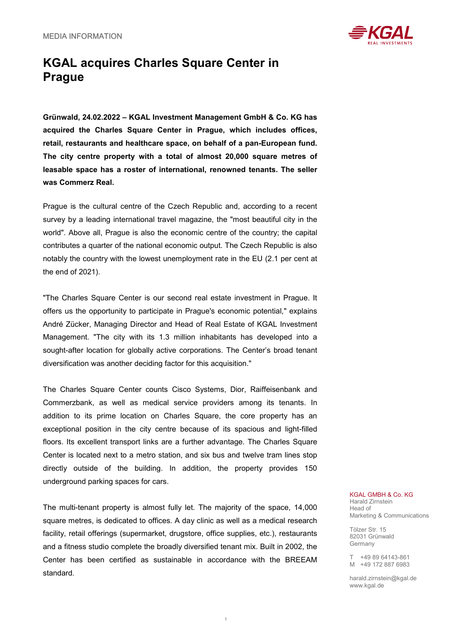

## **KGAL acquires Charles Square Center in Prague**

**Grünwald, 24.02.2022 – KGAL Investment Management GmbH & Co. KG has acquired the Charles Square Center in Prague, which includes offices, retail, restaurants and healthcare space, on behalf of a pan-European fund. The city centre property with a total of almost 20,000 square metres of leasable space has a roster of international, renowned tenants. The seller was Commerz Real.**

Prague is the cultural centre of the Czech Republic and, according to a recent survey by a leading international travel magazine, the "most beautiful city in the world". Above all, Prague is also the economic centre of the country; the capital contributes a quarter of the national economic output. The Czech Republic is also notably the country with the lowest unemployment rate in the EU (2.1 per cent at the end of 2021).

"The Charles Square Center is our second real estate investment in Prague. It offers us the opportunity to participate in Prague's economic potential," explains André Zücker, Managing Director and Head of Real Estate of KGAL Investment Management. "The city with its 1.3 million inhabitants has developed into a sought-after location for globally active corporations. The Center's broad tenant diversification was another deciding factor for this acquisition."

The Charles Square Center counts Cisco Systems, Dior, Raiffeisenbank and Commerzbank, as well as medical service providers among its tenants. In addition to its prime location on Charles Square, the core property has an exceptional position in the city centre because of its spacious and light-filled floors. Its excellent transport links are a further advantage. The Charles Square Center is located next to a metro station, and six bus and twelve tram lines stop directly outside of the building. In addition, the property provides 150 underground parking spaces for cars.

The multi-tenant property is almost fully let. The majority of the space, 14,000 square metres, is dedicated to offices. A day clinic as well as a medical research facility, retail offerings (supermarket, drugstore, office supplies, etc.), restaurants and a fitness studio complete the broadly diversified tenant mix. Built in 2002, the Center has been certified as sustainable in accordance with the BREEAM standard.

## KGAL GMBH & Co. KG Harald Zirnstein

Head of Marketing & Communications

Tölzer Str. 15 82031 Grünwald Germany

T +49 89 64143-861 M +49 172 887 6983

harald.zirnstein@kgal.de www.kgal.de